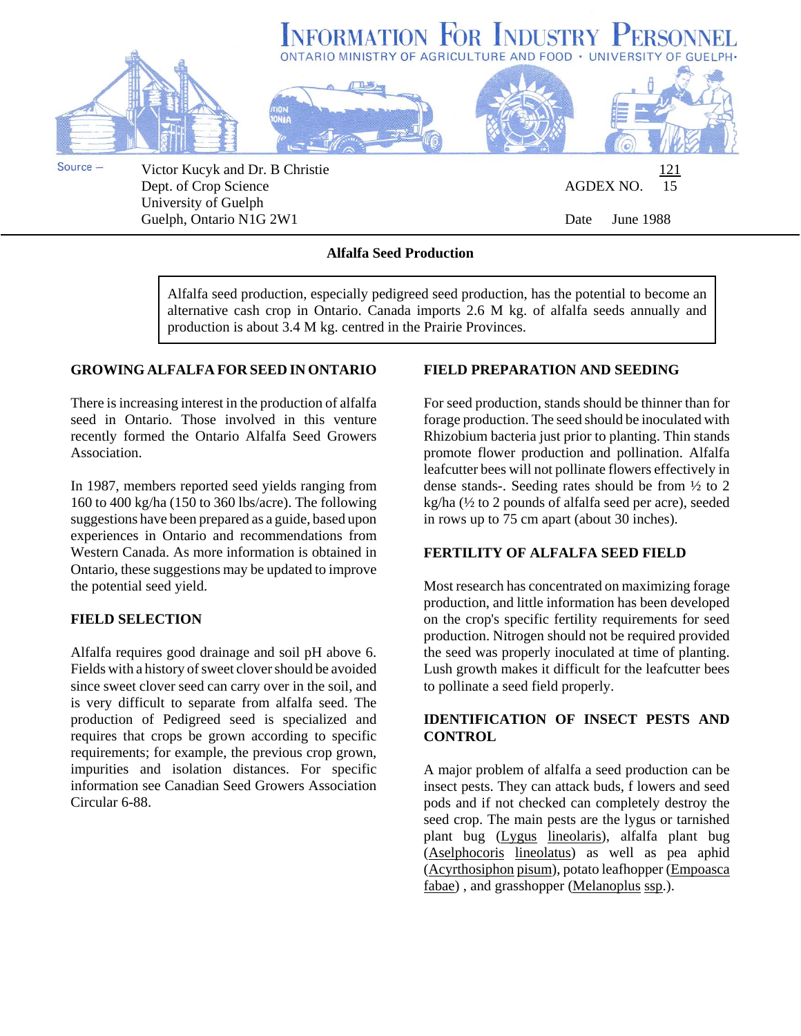

**Alfalfa Seed Production**

Alfalfa seed production, especially pedigreed seed production, has the potential to become an alternative cash crop in Ontario. Canada imports 2.6 M kg. of alfalfa seeds annually and production is about 3.4 M kg. centred in the Prairie Provinces.

### **GROWING ALFALFA FOR SEED IN ONTARIO**

There is increasing interest in the production of alfalfa seed in Ontario. Those involved in this venture recently formed the Ontario Alfalfa Seed Growers Association.

In 1987, members reported seed yields ranging from 160 to 400 kg/ha (150 to 360 lbs/acre). The following suggestions have been prepared as a guide, based upon experiences in Ontario and recommendations from Western Canada. As more information is obtained in Ontario, these suggestions may be updated to improve the potential seed yield.

# **FIELD SELECTION**

Alfalfa requires good drainage and soil pH above 6. Fields with a history of sweet clover should be avoided since sweet clover seed can carry over in the soil, and is very difficult to separate from alfalfa seed. The production of Pedigreed seed is specialized and requires that crops be grown according to specific requirements; for example, the previous crop grown, impurities and isolation distances. For specific information see Canadian Seed Growers Association Circular 6-88.

#### **FIELD PREPARATION AND SEEDING**

For seed production, stands should be thinner than for forage production. The seed should be inoculated with Rhizobium bacteria just prior to planting. Thin stands promote flower production and pollination. Alfalfa leafcutter bees will not pollinate flowers effectively in dense stands-. Seeding rates should be from ½ to 2 kg/ha (½ to 2 pounds of alfalfa seed per acre), seeded in rows up to 75 cm apart (about 30 inches).

#### **FERTILITY OF ALFALFA SEED FIELD**

Most research has concentrated on maximizing forage production, and little information has been developed on the crop's specific fertility requirements for seed production. Nitrogen should not be required provided the seed was properly inoculated at time of planting. Lush growth makes it difficult for the leafcutter bees to pollinate a seed field properly.

# **IDENTIFICATION OF INSECT PESTS AND CONTROL**

A major problem of alfalfa a seed production can be insect pests. They can attack buds, f lowers and seed pods and if not checked can completely destroy the seed crop. The main pests are the lygus or tarnished plant bug (Lygus lineolaris), alfalfa plant bug (Aselphocoris lineolatus) as well as pea aphid (Acyrthosiphon pisum), potato leafhopper (Empoasca fabae) , and grasshopper (Melanoplus ssp.).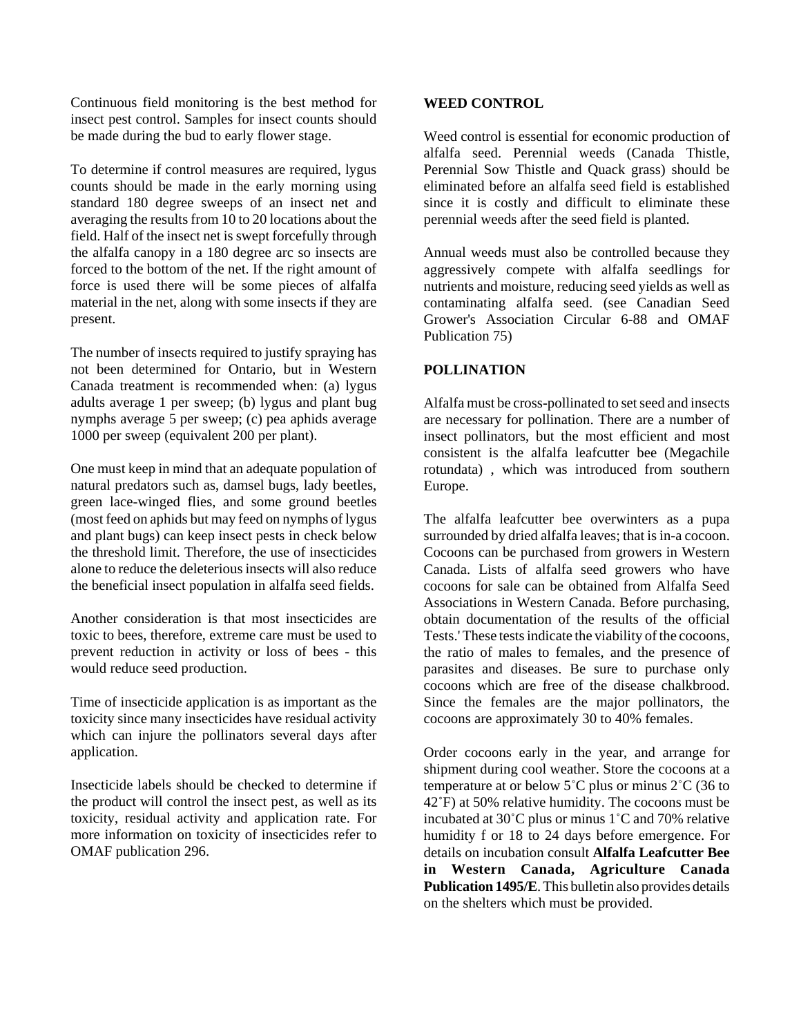Continuous field monitoring is the best method for insect pest control. Samples for insect counts should be made during the bud to early flower stage.

To determine if control measures are required, lygus counts should be made in the early morning using standard 180 degree sweeps of an insect net and averaging the results from 10 to 20 locations about the field. Half of the insect net is swept forcefully through the alfalfa canopy in a 180 degree arc so insects are forced to the bottom of the net. If the right amount of force is used there will be some pieces of alfalfa material in the net, along with some insects if they are present.

The number of insects required to justify spraying has not been determined for Ontario, but in Western Canada treatment is recommended when: (a) lygus adults average 1 per sweep; (b) lygus and plant bug nymphs average 5 per sweep; (c) pea aphids average 1000 per sweep (equivalent 200 per plant).

One must keep in mind that an adequate population of natural predators such as, damsel bugs, lady beetles, green lace-winged flies, and some ground beetles (most feed on aphids but may feed on nymphs of lygus and plant bugs) can keep insect pests in check below the threshold limit. Therefore, the use of insecticides alone to reduce the deleterious insects will also reduce the beneficial insect population in alfalfa seed fields.

Another consideration is that most insecticides are toxic to bees, therefore, extreme care must be used to prevent reduction in activity or loss of bees - this would reduce seed production.

Time of insecticide application is as important as the toxicity since many insecticides have residual activity which can injure the pollinators several days after application.

Insecticide labels should be checked to determine if the product will control the insect pest, as well as its toxicity, residual activity and application rate. For more information on toxicity of insecticides refer to OMAF publication 296.

#### **WEED CONTROL**

Weed control is essential for economic production of alfalfa seed. Perennial weeds (Canada Thistle, Perennial Sow Thistle and Quack grass) should be eliminated before an alfalfa seed field is established since it is costly and difficult to eliminate these perennial weeds after the seed field is planted.

Annual weeds must also be controlled because they aggressively compete with alfalfa seedlings for nutrients and moisture, reducing seed yields as well as contaminating alfalfa seed. (see Canadian Seed Grower's Association Circular 6-88 and OMAF Publication 75)

### **POLLINATION**

Alfalfa must be cross-pollinated to set seed and insects are necessary for pollination. There are a number of insect pollinators, but the most efficient and most consistent is the alfalfa leafcutter bee (Megachile rotundata) , which was introduced from southern Europe.

The alfalfa leafcutter bee overwinters as a pupa surrounded by dried alfalfa leaves; that is in-a cocoon. Cocoons can be purchased from growers in Western Canada. Lists of alfalfa seed growers who have cocoons for sale can be obtained from Alfalfa Seed Associations in Western Canada. Before purchasing, obtain documentation of the results of the official Tests.' These tests indicate the viability of the cocoons, the ratio of males to females, and the presence of parasites and diseases. Be sure to purchase only cocoons which are free of the disease chalkbrood. Since the females are the major pollinators, the cocoons are approximately 30 to 40% females.

Order cocoons early in the year, and arrange for shipment during cool weather. Store the cocoons at a temperature at or below  $5^{\circ}$ C plus or minus  $2^{\circ}$ C (36 to  $42\textdegree F$ ) at 50% relative humidity. The cocoons must be incubated at  $30^{\circ}$ C plus or minus 1 $^{\circ}$ C and 70% relative humidity f or 18 to 24 days before emergence. For details on incubation consult **Alfalfa Leafcutter Bee in Western Canada, Agriculture Canada Publication 1495/E**. This bulletin also provides details on the shelters which must be provided.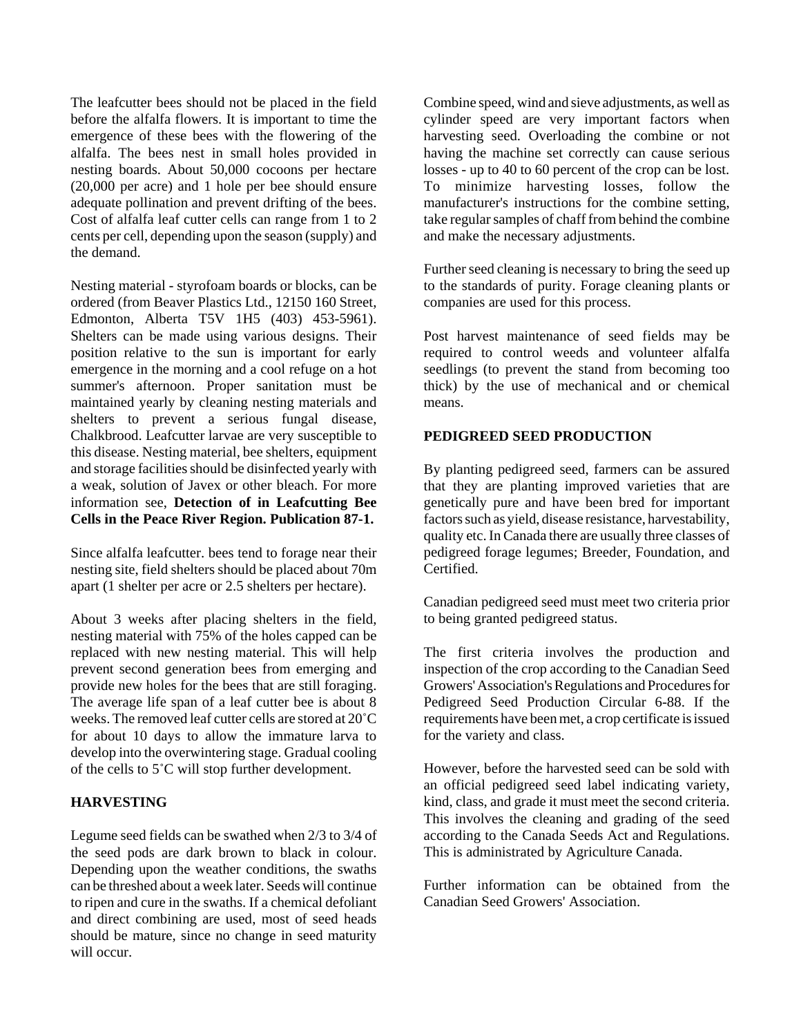The leafcutter bees should not be placed in the field before the alfalfa flowers. It is important to time the emergence of these bees with the flowering of the alfalfa. The bees nest in small holes provided in nesting boards. About 50,000 cocoons per hectare (20,000 per acre) and 1 hole per bee should ensure adequate pollination and prevent drifting of the bees. Cost of alfalfa leaf cutter cells can range from 1 to 2 cents per cell, depending upon the season (supply) and the demand.

Nesting material - styrofoam boards or blocks, can be ordered (from Beaver Plastics Ltd., 12150 160 Street, Edmonton, Alberta T5V 1H5 (403) 453-5961). Shelters can be made using various designs. Their position relative to the sun is important for early emergence in the morning and a cool refuge on a hot summer's afternoon. Proper sanitation must be maintained yearly by cleaning nesting materials and shelters to prevent a serious fungal disease, Chalkbrood. Leafcutter larvae are very susceptible to this disease. Nesting material, bee shelters, equipment and storage facilities should be disinfected yearly with a weak, solution of Javex or other bleach. For more information see, **Detection of in Leafcutting Bee Cells in the Peace River Region. Publication 87-1.**

Since alfalfa leafcutter. bees tend to forage near their nesting site, field shelters should be placed about 70m apart (1 shelter per acre or 2.5 shelters per hectare).

About 3 weeks after placing shelters in the field, nesting material with 75% of the holes capped can be replaced with new nesting material. This will help prevent second generation bees from emerging and provide new holes for the bees that are still foraging. The average life span of a leaf cutter bee is about 8 weeks. The removed leaf cutter cells are stored at 20/C for about 10 days to allow the immature larva to develop into the overwintering stage. Gradual cooling of the cells to  $5^{\circ}$ C will stop further development.

#### **HARVESTING**

Legume seed fields can be swathed when 2/3 to 3/4 of the seed pods are dark brown to black in colour. Depending upon the weather conditions, the swaths can be threshed about a week later. Seeds will continue to ripen and cure in the swaths. If a chemical defoliant and direct combining are used, most of seed heads should be mature, since no change in seed maturity will occur.

Combine speed, wind and sieve adjustments, as well as cylinder speed are very important factors when harvesting seed. Overloading the combine or not having the machine set correctly can cause serious losses - up to 40 to 60 percent of the crop can be lost. To minimize harvesting losses, follow the manufacturer's instructions for the combine setting, take regular samples of chaff from behind the combine and make the necessary adjustments.

Further seed cleaning is necessary to bring the seed up to the standards of purity. Forage cleaning plants or companies are used for this process.

Post harvest maintenance of seed fields may be required to control weeds and volunteer alfalfa seedlings (to prevent the stand from becoming too thick) by the use of mechanical and or chemical means.

### **PEDIGREED SEED PRODUCTION**

By planting pedigreed seed, farmers can be assured that they are planting improved varieties that are genetically pure and have been bred for important factors such as yield, disease resistance, harvestability, quality etc. In Canada there are usually three classes of pedigreed forage legumes; Breeder, Foundation, and Certified.

Canadian pedigreed seed must meet two criteria prior to being granted pedigreed status.

The first criteria involves the production and inspection of the crop according to the Canadian Seed Growers' Association's Regulations and Procedures for Pedigreed Seed Production Circular 6-88. If the requirements have been met, a crop certificate is issued for the variety and class.

However, before the harvested seed can be sold with an official pedigreed seed label indicating variety, kind, class, and grade it must meet the second criteria. This involves the cleaning and grading of the seed according to the Canada Seeds Act and Regulations. This is administrated by Agriculture Canada.

Further information can be obtained from the Canadian Seed Growers' Association.